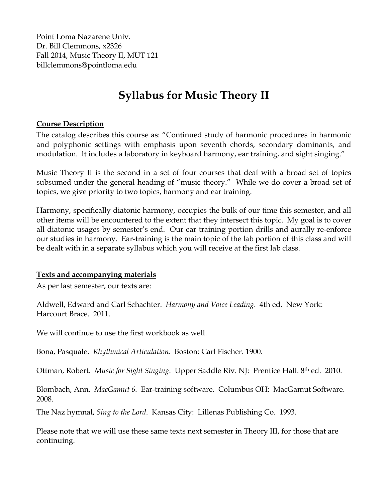Point Loma Nazarene Univ. Dr. Bill Clemmons, x2326 Fall 2014, Music Theory II, MUT 121 billclemmons@pointloma.edu

### **Syllabus for Music Theory II**

#### **Course Description**

The catalog describes this course as: "Continued study of harmonic procedures in harmonic and polyphonic settings with emphasis upon seventh chords, secondary dominants, and modulation. It includes a laboratory in keyboard harmony, ear training, and sight singing."

Music Theory II is the second in a set of four courses that deal with a broad set of topics subsumed under the general heading of "music theory." While we do cover a broad set of topics, we give priority to two topics, harmony and ear training.

Harmony, specifically diatonic harmony, occupies the bulk of our time this semester, and all other items will be encountered to the extent that they intersect this topic. My goal is to cover all diatonic usages by semester's end. Our ear training portion drills and aurally re-enforce our studies in harmony. Ear-training is the main topic of the lab portion of this class and will be dealt with in a separate syllabus which you will receive at the first lab class.

#### **Texts and accompanying materials**

As per last semester, our texts are:

Aldwell, Edward and Carl Schachter. *Harmony and Voice Leading*. 4th ed. New York: Harcourt Brace. 2011.

We will continue to use the first workbook as well.

Bona, Pasquale. *Rhythmical Articulation*. Boston: Carl Fischer. 1900.

Ottman, Robert. *Music for Sight Singing*. Upper Saddle Riv. NJ: Prentice Hall. 8th ed. 2010.

Blombach, Ann. *MacGamut 6*. Ear-training software. Columbus OH: MacGamut Software. 2008.

The Naz hymnal, *Sing to the Lord*. Kansas City: Lillenas Publishing Co. 1993.

Please note that we will use these same texts next semester in Theory III, for those that are continuing.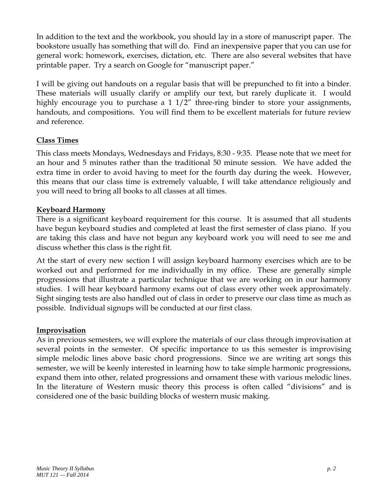In addition to the text and the workbook, you should lay in a store of manuscript paper. The bookstore usually has something that will do. Find an inexpensive paper that you can use for general work: homework, exercises, dictation, etc. There are also several websites that have printable paper. Try a search on Google for "manuscript paper."

I will be giving out handouts on a regular basis that will be prepunched to fit into a binder. These materials will usually clarify or amplify our text, but rarely duplicate it. I would highly encourage you to purchase a 1 1/2" three-ring binder to store your assignments, handouts, and compositions. You will find them to be excellent materials for future review and reference.

#### **Class Times**

This class meets Mondays, Wednesdays and Fridays, 8:30 - 9:35. Please note that we meet for an hour and 5 minutes rather than the traditional 50 minute session. We have added the extra time in order to avoid having to meet for the fourth day during the week. However, this means that our class time is extremely valuable, I will take attendance religiously and you will need to bring all books to all classes at all times.

#### **Keyboard Harmony**

There is a significant keyboard requirement for this course. It is assumed that all students have begun keyboard studies and completed at least the first semester of class piano. If you are taking this class and have not begun any keyboard work you will need to see me and discuss whether this class is the right fit.

At the start of every new section I will assign keyboard harmony exercises which are to be worked out and performed for me individually in my office. These are generally simple progressions that illustrate a particular technique that we are working on in our harmony studies. I will hear keyboard harmony exams out of class every other week approximately. Sight singing tests are also handled out of class in order to preserve our class time as much as possible. Individual signups will be conducted at our first class.

#### **Improvisation**

As in previous semesters, we will explore the materials of our class through improvisation at several points in the semester. Of specific importance to us this semester is improvising simple melodic lines above basic chord progressions. Since we are writing art songs this semester, we will be keenly interested in learning how to take simple harmonic progressions, expand them into other, related progressions and ornament these with various melodic lines. In the literature of Western music theory this process is often called "divisions" and is considered one of the basic building blocks of western music making.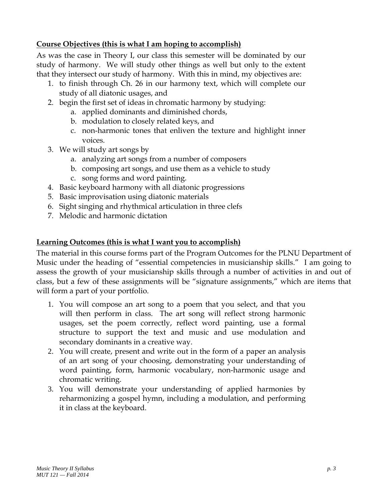#### **Course Objectives (this is what I am hoping to accomplish)**

As was the case in Theory I, our class this semester will be dominated by our study of harmony. We will study other things as well but only to the extent that they intersect our study of harmony. With this in mind, my objectives are:

- 1. to finish through Ch. 26 in our harmony text, which will complete our study of all diatonic usages, and
- 2. begin the first set of ideas in chromatic harmony by studying:
	- a. applied dominants and diminished chords,
		- b. modulation to closely related keys, and
		- c. non-harmonic tones that enliven the texture and highlight inner voices.
- 3. We will study art songs by
	- a. analyzing art songs from a number of composers
	- b. composing art songs, and use them as a vehicle to study
	- c. song forms and word painting.
- 4. Basic keyboard harmony with all diatonic progressions
- 5. Basic improvisation using diatonic materials
- 6. Sight singing and rhythmical articulation in three clefs
- 7. Melodic and harmonic dictation

#### **Learning Outcomes (this is what I want you to accomplish)**

The material in this course forms part of the Program Outcomes for the PLNU Department of Music under the heading of "essential competencies in musicianship skills." I am going to assess the growth of your musicianship skills through a number of activities in and out of class, but a few of these assignments will be "signature assignments," which are items that will form a part of your portfolio.

- 1. You will compose an art song to a poem that you select, and that you will then perform in class. The art song will reflect strong harmonic usages, set the poem correctly, reflect word painting, use a formal structure to support the text and music and use modulation and secondary dominants in a creative way.
- 2. You will create, present and write out in the form of a paper an analysis of an art song of your choosing, demonstrating your understanding of word painting, form, harmonic vocabulary, non-harmonic usage and chromatic writing.
- 3. You will demonstrate your understanding of applied harmonies by reharmonizing a gospel hymn, including a modulation, and performing it in class at the keyboard.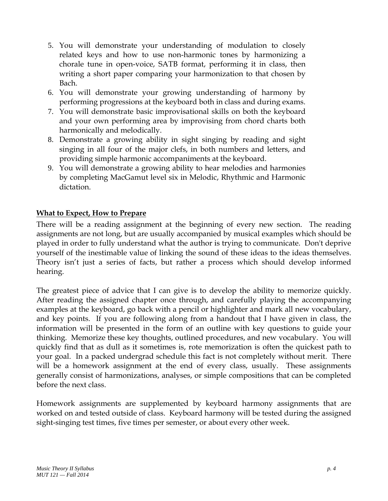- 5. You will demonstrate your understanding of modulation to closely related keys and how to use non-harmonic tones by harmonizing a chorale tune in open-voice, SATB format, performing it in class, then writing a short paper comparing your harmonization to that chosen by Bach.
- 6. You will demonstrate your growing understanding of harmony by performing progressions at the keyboard both in class and during exams.
- 7. You will demonstrate basic improvisational skills on both the keyboard and your own performing area by improvising from chord charts both harmonically and melodically.
- 8. Demonstrate a growing ability in sight singing by reading and sight singing in all four of the major clefs, in both numbers and letters, and providing simple harmonic accompaniments at the keyboard.
- 9. You will demonstrate a growing ability to hear melodies and harmonies by completing MacGamut level six in Melodic, Rhythmic and Harmonic dictation.

#### **What to Expect, How to Prepare**

There will be a reading assignment at the beginning of every new section. The reading assignments are not long, but are usually accompanied by musical examples which should be played in order to fully understand what the author is trying to communicate. Don't deprive yourself of the inestimable value of linking the sound of these ideas to the ideas themselves. Theory isn't just a series of facts, but rather a process which should develop informed hearing.

The greatest piece of advice that I can give is to develop the ability to memorize quickly. After reading the assigned chapter once through, and carefully playing the accompanying examples at the keyboard, go back with a pencil or highlighter and mark all new vocabulary, and key points. If you are following along from a handout that I have given in class, the information will be presented in the form of an outline with key questions to guide your thinking. Memorize these key thoughts, outlined procedures, and new vocabulary. You will quickly find that as dull as it sometimes is, rote memorization is often the quickest path to your goal. In a packed undergrad schedule this fact is not completely without merit. There will be a homework assignment at the end of every class, usually. These assignments generally consist of harmonizations, analyses, or simple compositions that can be completed before the next class.

Homework assignments are supplemented by keyboard harmony assignments that are worked on and tested outside of class. Keyboard harmony will be tested during the assigned sight-singing test times, five times per semester, or about every other week.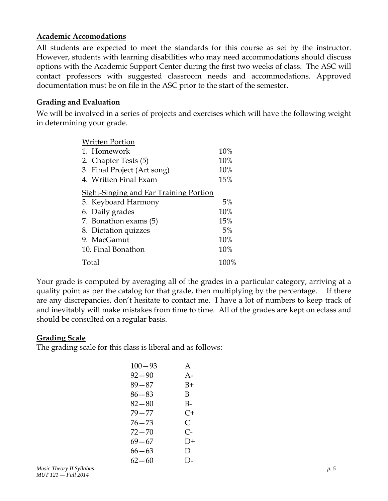#### **Academic Accomodations**

All students are expected to meet the standards for this course as set by the instructor. However, students with learning disabilities who may need accommodations should discuss options with the Academic Support Center during the first two weeks of class. The ASC will contact professors with suggested classroom needs and accommodations. Approved documentation must be on file in the ASC prior to the start of the semester.

#### **Grading and Evaluation**

We will be involved in a series of projects and exercises which will have the following weight in determining your grade.

| <b>Written Portion</b>                        |      |  |  |
|-----------------------------------------------|------|--|--|
| 1. Homework                                   |      |  |  |
| 2. Chapter Tests (5)                          | 10%  |  |  |
| 3. Final Project (Art song)                   | 10%  |  |  |
| 4. Written Final Exam                         |      |  |  |
| <b>Sight-Singing and Ear Training Portion</b> |      |  |  |
| 5. Keyboard Harmony                           | 5%   |  |  |
| 6. Daily grades                               | 10%  |  |  |
| 7. Bonathon exams (5)                         | 15%  |  |  |
| 8. Dictation quizzes                          | 5%   |  |  |
| 9. MacGamut                                   | 10%  |  |  |
| 10. Final Bonathon                            | 10%  |  |  |
| Total                                         | 100% |  |  |

Your grade is computed by averaging all of the grades in a particular category, arriving at a quality point as per the catalog for that grade, then multiplying by the percentage. If there are any discrepancies, don't hesitate to contact me. I have a lot of numbers to keep track of and inevitably will make mistakes from time to time. All of the grades are kept on eclass and should be consulted on a regular basis.

#### **Grading Scale**

The grading scale for this class is liberal and as follows:

| $100 - 93$ | A     |
|------------|-------|
| $92 - 90$  | $A -$ |
| 89—87      | B+    |
| $86 - 83$  | B     |
| 82–80      | В-    |
| 79 — 77    | C+    |
| 76—73      | C     |
| 72 — 70    | C-    |
| 69—67      | $D+$  |
| 66—63      | D     |
| $62 - 60$  | D-    |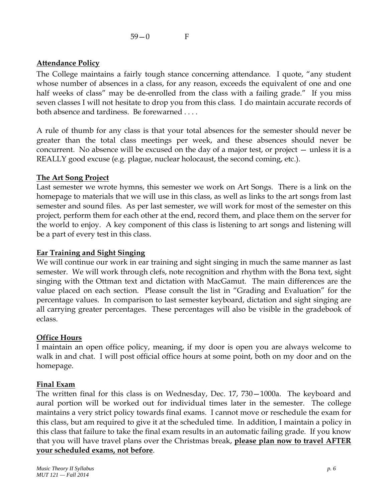59—0 F

#### **Attendance Policy**

The College maintains a fairly tough stance concerning attendance. I quote, "any student whose number of absences in a class, for any reason, exceeds the equivalent of one and one half weeks of class" may be de-enrolled from the class with a failing grade." If you miss seven classes I will not hesitate to drop you from this class. I do maintain accurate records of both absence and tardiness. Be forewarned . . . .

A rule of thumb for any class is that your total absences for the semester should never be greater than the total class meetings per week, and these absences should never be concurrent. No absence will be excused on the day of a major test, or project — unless it is a REALLY good excuse (e.g. plague, nuclear holocaust, the second coming, etc.).

#### **The Art Song Project**

Last semester we wrote hymns, this semester we work on Art Songs. There is a link on the homepage to materials that we will use in this class, as well as links to the art songs from last semester and sound files. As per last semester, we will work for most of the semester on this project, perform them for each other at the end, record them, and place them on the server for the world to enjoy. A key component of this class is listening to art songs and listening will be a part of every test in this class.

#### **Ear Training and Sight Singing**

We will continue our work in ear training and sight singing in much the same manner as last semester. We will work through clefs, note recognition and rhythm with the Bona text, sight singing with the Ottman text and dictation with MacGamut. The main differences are the value placed on each section. Please consult the list in "Grading and Evaluation" for the percentage values. In comparison to last semester keyboard, dictation and sight singing are all carrying greater percentages. These percentages will also be visible in the gradebook of eclass.

#### **Office Hours**

I maintain an open office policy, meaning, if my door is open you are always welcome to walk in and chat. I will post official office hours at some point, both on my door and on the homepage.

#### **Final Exam**

The written final for this class is on Wednesday, Dec. 17, 730—1000a. The keyboard and aural portion will be worked out for individual times later in the semester. The college maintains a very strict policy towards final exams. I cannot move or reschedule the exam for this class, but am required to give it at the scheduled time. In addition, I maintain a policy in this class that failure to take the final exam results in an automatic failing grade. If you know that you will have travel plans over the Christmas break, **please plan now to travel AFTER your scheduled exams, not before**.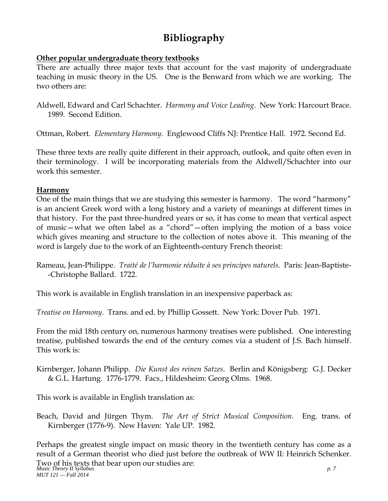### **Bibliography**

#### **Other popular undergraduate theory textbooks**

There are actually three major texts that account for the vast majority of undergraduate teaching in music theory in the US. One is the Benward from which we are working. The two others are:

Aldwell, Edward and Carl Schachter. *Harmony and Voice Leading*. New York: Harcourt Brace. 1989. Second Edition.

Ottman, Robert. *Elementary Harmony*. Englewood Cliffs NJ: Prentice Hall. 1972. Second Ed.

These three texts are really quite different in their approach, outlook, and quite often even in their terminology. I will be incorporating materials from the Aldwell/Schachter into our work this semester.

#### **Harmony**

One of the main things that we are studying this semester is harmony. The word "harmony" is an ancient Greek word with a long history and a variety of meanings at different times in that history. For the past three-hundred years or so, it has come to mean that vertical aspect of music—what we often label as a "chord"—often implying the motion of a bass voice which gives meaning and structure to the collection of notes above it. This meaning of the word is largely due to the work of an Eighteenth-century French theorist:

This work is available in English translation in an inexpensive paperback as:

*Treatise on Harmony*. Trans. and ed. by Phillip Gossett. New York: Dover Pub. 1971.

From the mid 18th century on, numerous harmony treatises were published. One interesting treatise, published towards the end of the century comes via a student of J.S. Bach himself. This work is:

Kirnberger, Johann Philipp. *Die Kunst des reinen Satzes*. Berlin and Königsberg: G.J. Decker & G.L. Hartung. 1776-1779. Facs., Hildesheim: Georg Olms. 1968.

This work is available in English translation as:

Beach, David and Jürgen Thym. *The Art of Strict Musical Composition*. Eng. trans. of Kirnberger (1776-9). New Haven: Yale UP. 1982.

*Music Theory II Syllabus p. 7*  Two of his texts that bear upon our studies are: *MUT 121 — Fall 2014*  Perhaps the greatest single impact on music theory in the twentieth century has come as a result of a German theorist who died just before the outbreak of WW II: Heinrich Schenker.

Rameau, Jean-Philippe. *Traité de l'harmonie réduite à ses principes naturels*. Paris: Jean-Baptiste- -Christophe Ballard. 1722.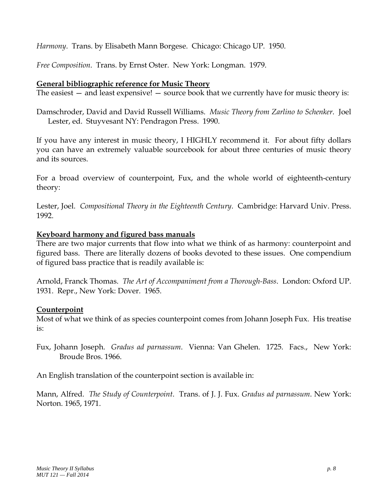*Harmony*. Trans. by Elisabeth Mann Borgese. Chicago: Chicago UP. 1950.

*Free Composition*. Trans. by Ernst Oster. New York: Longman. 1979.

#### **General bibliographic reference for Music Theory**

The easiest  $-$  and least expensive!  $-$  source book that we currently have for music theory is:

Damschroder, David and David Russell Williams. *Music Theory from Zarlino to Schenker*. Joel Lester, ed. Stuyvesant NY: Pendragon Press. 1990.

If you have any interest in music theory, I HIGHLY recommend it. For about fifty dollars you can have an extremely valuable sourcebook for about three centuries of music theory and its sources.

For a broad overview of counterpoint, Fux, and the whole world of eighteenth-century theory:

Lester, Joel. *Compositional Theory in the Eighteenth Century*. Cambridge: Harvard Univ. Press. 1992.

#### **Keyboard harmony and figured bass manuals**

There are two major currents that flow into what we think of as harmony: counterpoint and figured bass. There are literally dozens of books devoted to these issues. One compendium of figured bass practice that is readily available is:

Arnold, Franck Thomas. *The Art of Accompaniment from a Thorough-Bass*. London: Oxford UP. 1931. Repr., New York: Dover. 1965.

#### **Counterpoint**

Most of what we think of as species counterpoint comes from Johann Joseph Fux. His treatise is:

Fux, Johann Joseph. *Gradus ad parnassum*. Vienna: Van Ghelen. 1725. Facs., New York: Broude Bros. 1966.

An English translation of the counterpoint section is available in:

Mann, Alfred. *The Study of Counterpoint*. Trans. of J. J. Fux. *Gradus ad parnassum*. New York: Norton. 1965, 1971.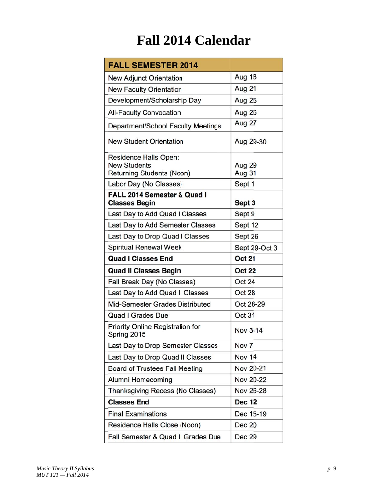# Fall 2014 Calendar

| <b>FALL SEMESTER 2014</b>                                                                           |                            |
|-----------------------------------------------------------------------------------------------------|----------------------------|
| <b>New Adjunct Orientation</b>                                                                      | <b>Aug 18</b>              |
| <b>New Faculty Orientation</b>                                                                      | Aug 21                     |
| Development/Scholarship Day                                                                         | Aug 25                     |
| <b>All-Faculty Convocation</b>                                                                      | Aug 26                     |
| Department/School Faculty Meetings                                                                  | Aug 27                     |
| <b>New Student Orientation</b>                                                                      | Aug 29-30                  |
| Residence Halls Open:<br><b>New Students</b><br>Returning Students (Noon)<br>Labor Day (No Classes) | Aug 29<br>Aug 31<br>Sept 1 |
| FALL 2014 Semester & Quad I                                                                         |                            |
| <b>Classes Begin</b>                                                                                | Sept 3                     |
| Last Day to Add Quad I Classes                                                                      | Sept 9                     |
| Last Day to Add Semester Classes                                                                    | Sept 12                    |
| Last Day to Drop Quad I Classes                                                                     | Sept 26                    |
| <b>Spiritual Renewal Week</b>                                                                       | Sept 29-Oct 3              |
| <b>Quad I Classes End</b>                                                                           | <b>Oct 21</b>              |
| <b>Quad II Classes Begin</b>                                                                        | <b>Oct 22</b>              |
| Fall Break Day (No Classes)                                                                         | Oct 24                     |
| Last Day to Add Quad Il Classes                                                                     | <b>Oct 28</b>              |
| Mid-Semester Grades Distributed                                                                     | Oct 28-29                  |
| <b>Quad I Grades Due</b>                                                                            | Oct 31                     |
| Priority Online Registration for<br>Spring 2015                                                     | Nov 3-14                   |
| Last Day to Drop Semester Classes                                                                   | Nov <sub>7</sub>           |
| Last Day to Drop Quad II Classes                                                                    | Nov 14                     |
| <b>Board of Trustees Fall Meeting</b>                                                               | Nov 20-21                  |
| Alumni Homecoming                                                                                   | Nov 20-22                  |
| Thanksgiving Recess (No Classes)                                                                    | Nov 26-28                  |
| <b>Classes End</b>                                                                                  | <b>Dec 12</b>              |
| <b>Final Examinations</b>                                                                           | Dec 15-19                  |
| Residence Halls Close (Noon)                                                                        | <b>Dec 20</b>              |
| Fall Semester & Quad II Grades Due                                                                  | Dec 29                     |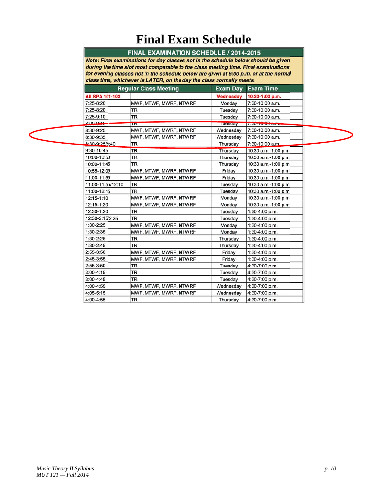## **Final Exam Schedule**

#### FINAL EXAMINATION SCHEDULE / 2014-2015

Note: Final examinations for day classes not in the schedule below should be given<br>during the time slot most comparable to the class meeting time. Final examinations for evening classes not in the schedule below are given at 6:00 p.m. or at the normal class time, whichever is LATER, on the day the class normally meets.

|                        | <b>Regular Class Meeting</b> | <b>Exam Day</b> | <b>Exam Time</b>     |
|------------------------|------------------------------|-----------------|----------------------|
| <b>All SPA 101-102</b> |                              | Wednesday       | 10:30-1:00 p.m.      |
| 7:25-8:20              | MWF, MTWF, MWRF, MTWRF       | Monday          | 7:30-10:00 a.m.      |
| 7:25-8:20              | <b>TR</b>                    | Tuesday         | 7:30-10:00 a.m.      |
| 7:25-9:10              | TR                           | Tuesday         | 7:30-10:00 a.m.      |
| 8.00945                | TIN                          | <b>Tuesday</b>  | $1.50 - 10.00$ cm    |
| 8:30-9:25              | MWF, MTWF, MWRF, MTWRF       | Wednesday       | 7:30-10:00 a.m.      |
| 8:30-9:35              | MWF, MTWF, MWRF, MTWRF       | Wednesday       | 7:30-10:00 a.m.      |
| 8:30-9:25/9:40         | TR                           | Thursday        | 7:30-10:00 a.m.      |
| 9:30-10:45             | <b>TR</b>                    | Thursday        | 10:30 a.m.-1:00 p.m. |
| 10:00-10:50            | <b>TR</b>                    | Thursday        | 10:30 a.m.-1:00 p.m. |
| 10:00-11:45            | <b>TR</b>                    | Thursday        | 10:30 a.m.-1:00 p.m. |
| 10:55-12:05            | MWF, MTWF, MWRF, MTWRF       | Friday          | 10:30 a.m.-1:00 p.m. |
| 11:00-11:55            | MWF, MTWF, MWRF, MTWRF       | Friday          | 10:30 a.m.-1:00 p.m. |
| 11:00-11:55/12:10      | <b>TR</b>                    | Tuesdav         | 10:30 a.m.-1:00 p.m. |
| 11:00-12:15            | <b>TR</b>                    | Tuesday         | 10:30 a.m.-1:00 p.m. |
| 12:15-1:10             | MWF. MTWF. MWRF. MTWRF       | Monday          | 10:30 a.m.-1:00 p.m. |
| 12:15-1:20             | MWF, MTWF, MWRF, MTWRF       | Monday          | 10:30 a.m.-1:00 p.m. |
| 12:30-1:20             | <b>TR</b>                    | Tuesday         | 1:30-4:00 p.m.       |
| 12:30-2:15/2:25        | <b>TR</b>                    | Tuesday         | 1:30-4:00 p.m.       |
| $1:30-2:25$            | MWF, MTWF, MWRF, MTWRF       | Monday          | 1:30-4:00 p.m.       |
| 1:30-2:35              | MWF, MTWF, MWRF, MTWRF       | Monday          | 1:30-4:00 p.m.       |
| 1:30-2:25              | <b>TR</b>                    | Thursday        | 1:30-4:00 p.m.       |
| 1:30-2:45              | <b>TR</b>                    | Thursday        | 1:30-4:00 p.m.       |
| 2:55-3:50              | MWF, MTWF, MWRF, MTWRF       | Friday          | 1:30-4:00 p.m.       |
| $2:45-3:55$            | MWF, MTWF, MWRF, MTWRF       | Friday          | 1:30-4:00 p.m.       |
| 2:55-3:50              | <b>TR</b>                    | Tuesday         | 4:30-7:00 p.m.       |
| $3:00 - 4:15$          | <b>TR</b>                    | Tuesday         | 4:30-7:00 p.m.       |
| 3:00-4:45              | <b>TR</b>                    | Tuesday         | 4:30-7:00 p.m.       |
| 4:00-4:55              | MWF, MTWF, MWRF, MTWRF       | Wednesdav       | 4:30-7:00 p.m.       |
| 4:05-5:15              | MWF, MTWF, MWRF, MTWRF       | Wednesday       | 4:30-7:00 p.m.       |
| 4:00-4:55              | <b>TR</b>                    | Thursday        | 4:30-7:00 p.m.       |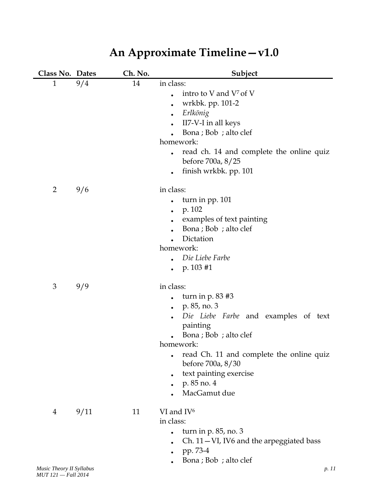| Class No. Dates |      | Ch. No. | Subject                                                                                                                                                                                                                                                               |
|-----------------|------|---------|-----------------------------------------------------------------------------------------------------------------------------------------------------------------------------------------------------------------------------------------------------------------------|
| $\mathbf{1}$    | 9/4  | 14      | in class:<br>intro to V and V <sup>7</sup> of V<br>wrkbk. pp. 101-2<br>Erlkönig<br>$\bullet$<br>II7-V-I in all keys<br>Bona ; Bob ; alto clef<br>homework:<br>read ch. 14 and complete the online quiz<br>before 700a, 8/25                                           |
| $\overline{2}$  | 9/6  |         | finish wrkbk. pp. 101<br>in class:<br>turn in pp. 101                                                                                                                                                                                                                 |
|                 |      |         | p. 102<br>$\bullet$<br>examples of text painting<br>Bona ; Bob ; alto clef<br>Dictation<br>homework:<br>Die Liebe Farbe<br>$p. 103 \#1$                                                                                                                               |
| 3               | 9/9  |         | in class:<br>turn in $p. 83 \#3$<br>p. 85, no. 3<br>Die Liebe Farbe and examples of text<br>painting<br>Bona ; Bob ; alto clef<br>homework:<br>read Ch. 11 and complete the online quiz<br>before 700a, 8/30<br>text painting exercise<br>p. 85 no. 4<br>MacGamut due |
| 4               | 9/11 | 11      | VI and IV <sup>6</sup><br>in class:<br>turn in $p. 85$ , no. 3<br>Ch. 11-VI, IV6 and the arpeggiated bass<br>pp. 73-4<br>Bona ; Bob ; alto clef                                                                                                                       |

# **An Approximate Timeline—v1.0**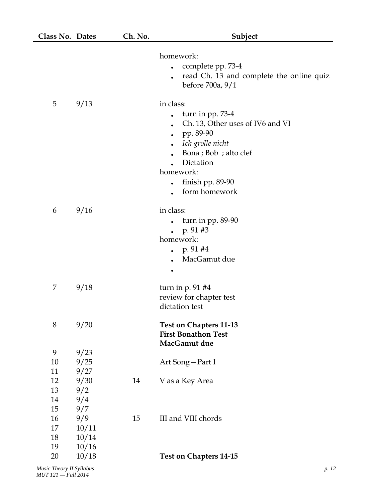| Class No. Dates |       | Ch. No. | Subject                                                                                                                                                                                     |
|-----------------|-------|---------|---------------------------------------------------------------------------------------------------------------------------------------------------------------------------------------------|
|                 |       |         | homework:<br>complete pp. 73-4<br>read Ch. 13 and complete the online quiz<br>before 700a, 9/1                                                                                              |
| 5               | 9/13  |         | in class:<br>turn in pp. 73-4<br>Ch. 13, Other uses of IV6 and VI<br>pp. 89-90<br>Ich grolle nicht<br>Bona ; Bob ; alto clef<br>Dictation<br>homework:<br>finish pp. 89-90<br>form homework |
| 6               | 9/16  |         | in class:<br>turn in pp. 89-90<br>p. 91#3<br>homework:<br>p. 91 #4<br>MacGamut due                                                                                                          |
| 7               | 9/18  |         | turn in $p. 91$ #4<br>review for chapter test<br>dictation test                                                                                                                             |
| $8\,$           | 9/20  |         | <b>Test on Chapters 11-13</b><br><b>First Bonathon Test</b><br>MacGamut due                                                                                                                 |
| 9               | 9/23  |         |                                                                                                                                                                                             |
| 10              | 9/25  |         | Art Song-Part I                                                                                                                                                                             |
| 11              | 9/27  |         |                                                                                                                                                                                             |
| 12              | 9/30  | 14      | V as a Key Area                                                                                                                                                                             |
| 13              | 9/2   |         |                                                                                                                                                                                             |
| 14              | 9/4   |         |                                                                                                                                                                                             |
| 15              | 9/7   |         |                                                                                                                                                                                             |
| 16              | 9/9   | 15      | III and VIII chords                                                                                                                                                                         |
| 17              | 10/11 |         |                                                                                                                                                                                             |
| 18              | 10/14 |         |                                                                                                                                                                                             |
| 19              | 10/16 |         |                                                                                                                                                                                             |
| 20              | 10/18 |         | <b>Test on Chapters 14-15</b>                                                                                                                                                               |